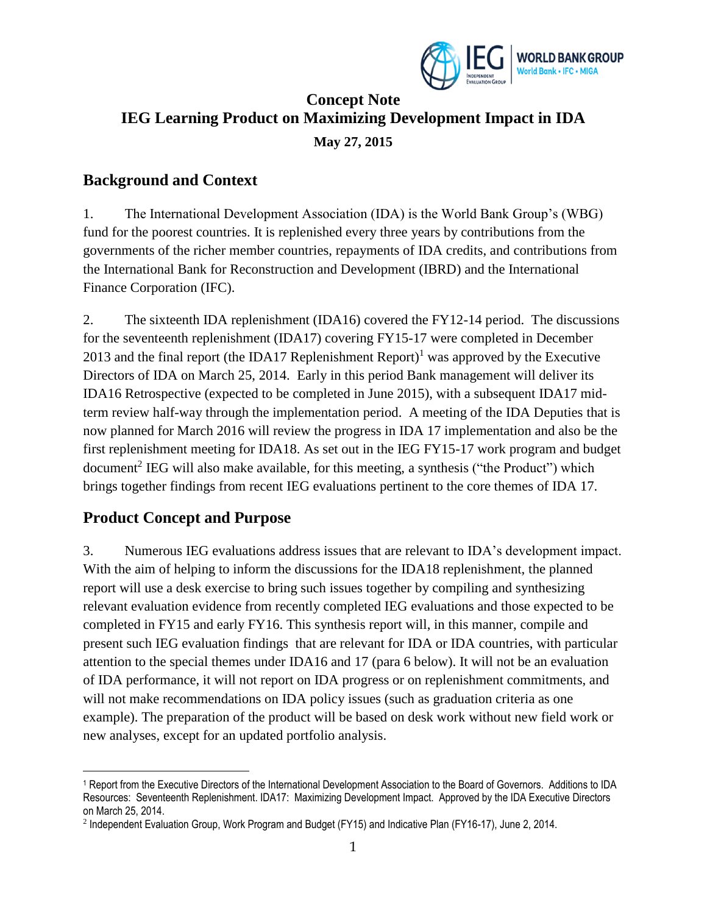

## **Concept Note IEG Learning Product on Maximizing Development Impact in IDA May 27, 2015**

#### **Background and Context**

1. The International Development Association (IDA) is the World Bank Group's (WBG) fund for the poorest countries. It is replenished every three years by contributions from the governments of the richer member countries, repayments of IDA credits, and contributions from the International Bank for Reconstruction and Development (IBRD) and the International Finance Corporation (IFC).

2. The sixteenth IDA replenishment (IDA16) covered the FY12-14 period. The discussions for the seventeenth replenishment (IDA17) covering FY15-17 were completed in December 2013 and the final report (the IDA17 Replenishment Report)<sup>1</sup> was approved by the Executive Directors of IDA on March 25, 2014. Early in this period Bank management will deliver its IDA16 Retrospective (expected to be completed in June 2015), with a subsequent IDA17 midterm review half-way through the implementation period. A meeting of the IDA Deputies that is now planned for March 2016 will review the progress in IDA 17 implementation and also be the first replenishment meeting for IDA18. As set out in the IEG FY15-17 work program and budget document<sup>2</sup> IEG will also make available, for this meeting, a synthesis ("the Product") which brings together findings from recent IEG evaluations pertinent to the core themes of IDA 17.

#### **Product Concept and Purpose**

3. Numerous IEG evaluations address issues that are relevant to IDA's development impact. With the aim of helping to inform the discussions for the IDA18 replenishment, the planned report will use a desk exercise to bring such issues together by compiling and synthesizing relevant evaluation evidence from recently completed IEG evaluations and those expected to be completed in FY15 and early FY16. This synthesis report will, in this manner, compile and present such IEG evaluation findings that are relevant for IDA or IDA countries, with particular attention to the special themes under IDA16 and 17 (para 6 below). It will not be an evaluation of IDA performance, it will not report on IDA progress or on replenishment commitments, and will not make recommendations on IDA policy issues (such as graduation criteria as one example). The preparation of the product will be based on desk work without new field work or new analyses, except for an updated portfolio analysis.

 $\overline{a}$ <sup>1</sup> Report from the Executive Directors of the International Development Association to the Board of Governors. Additions to IDA Resources: Seventeenth Replenishment. IDA17: Maximizing Development Impact. Approved by the IDA Executive Directors on March 25, 2014.

<sup>2</sup> Independent Evaluation Group, Work Program and Budget (FY15) and Indicative Plan (FY16-17), June 2, 2014.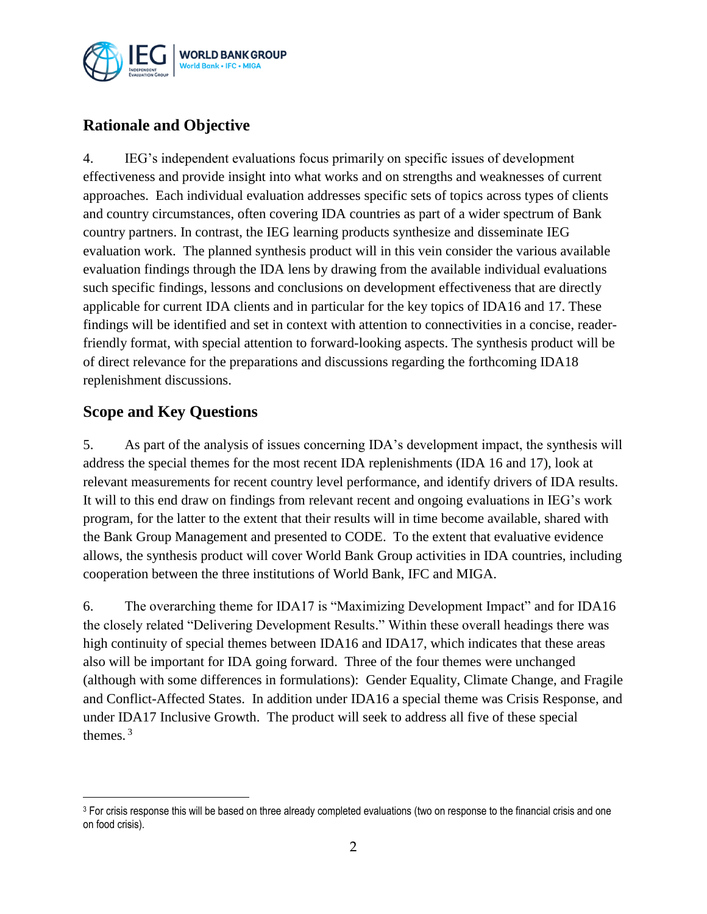

## **Rationale and Objective**

4. IEG's independent evaluations focus primarily on specific issues of development effectiveness and provide insight into what works and on strengths and weaknesses of current approaches. Each individual evaluation addresses specific sets of topics across types of clients and country circumstances, often covering IDA countries as part of a wider spectrum of Bank country partners. In contrast, the IEG learning products synthesize and disseminate IEG evaluation work. The planned synthesis product will in this vein consider the various available evaluation findings through the IDA lens by drawing from the available individual evaluations such specific findings, lessons and conclusions on development effectiveness that are directly applicable for current IDA clients and in particular for the key topics of IDA16 and 17. These findings will be identified and set in context with attention to connectivities in a concise, readerfriendly format, with special attention to forward-looking aspects. The synthesis product will be of direct relevance for the preparations and discussions regarding the forthcoming IDA18 replenishment discussions.

#### **Scope and Key Questions**

 $\overline{a}$ 

5. As part of the analysis of issues concerning IDA's development impact, the synthesis will address the special themes for the most recent IDA replenishments (IDA 16 and 17), look at relevant measurements for recent country level performance, and identify drivers of IDA results. It will to this end draw on findings from relevant recent and ongoing evaluations in IEG's work program, for the latter to the extent that their results will in time become available, shared with the Bank Group Management and presented to CODE. To the extent that evaluative evidence allows, the synthesis product will cover World Bank Group activities in IDA countries, including cooperation between the three institutions of World Bank, IFC and MIGA.

6. The overarching theme for IDA17 is "Maximizing Development Impact" and for IDA16 the closely related "Delivering Development Results." Within these overall headings there was high continuity of special themes between IDA16 and IDA17, which indicates that these areas also will be important for IDA going forward. Three of the four themes were unchanged (although with some differences in formulations): Gender Equality, Climate Change, and Fragile and Conflict-Affected States. In addition under IDA16 a special theme was Crisis Response, and under IDA17 Inclusive Growth. The product will seek to address all five of these special themes. <sup>3</sup>

<sup>&</sup>lt;sup>3</sup> For crisis response this will be based on three already completed evaluations (two on response to the financial crisis and one on food crisis).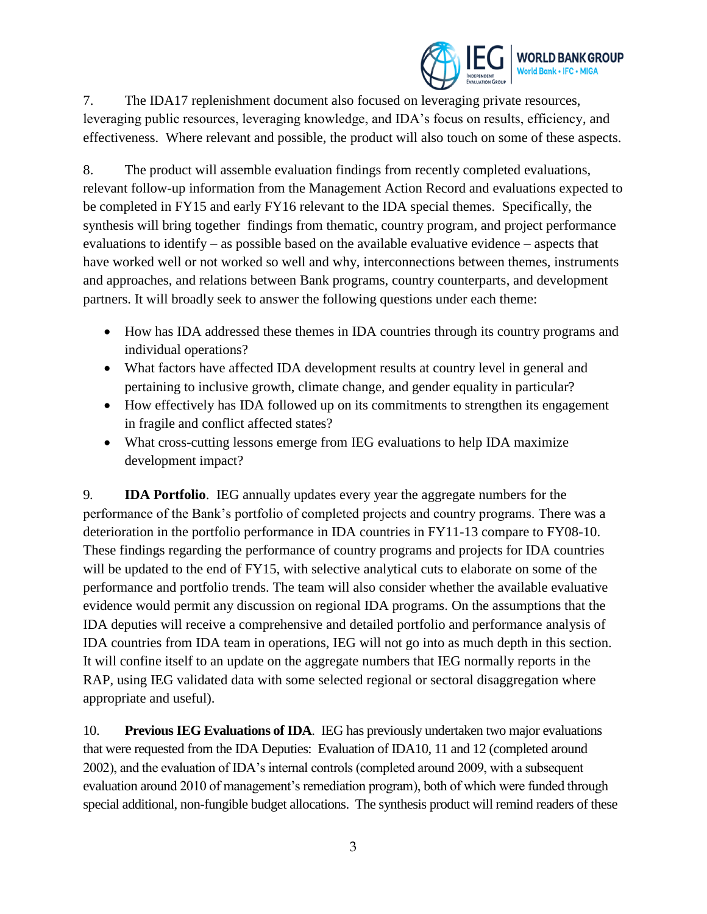

7. The IDA17 replenishment document also focused on leveraging private resources, leveraging public resources, leveraging knowledge, and IDA's focus on results, efficiency, and effectiveness. Where relevant and possible, the product will also touch on some of these aspects.

8. The product will assemble evaluation findings from recently completed evaluations, relevant follow-up information from the Management Action Record and evaluations expected to be completed in FY15 and early FY16 relevant to the IDA special themes. Specifically, the synthesis will bring together findings from thematic, country program, and project performance evaluations to identify – as possible based on the available evaluative evidence – aspects that have worked well or not worked so well and why, interconnections between themes, instruments and approaches, and relations between Bank programs, country counterparts, and development partners. It will broadly seek to answer the following questions under each theme:

- How has IDA addressed these themes in IDA countries through its country programs and individual operations?
- What factors have affected IDA development results at country level in general and pertaining to inclusive growth, climate change, and gender equality in particular?
- How effectively has IDA followed up on its commitments to strengthen its engagement in fragile and conflict affected states?
- What cross-cutting lessons emerge from IEG evaluations to help IDA maximize development impact?

9. **IDA Portfolio**. IEG annually updates every year the aggregate numbers for the performance of the Bank's portfolio of completed projects and country programs. There was a deterioration in the portfolio performance in IDA countries in FY11-13 compare to FY08-10. These findings regarding the performance of country programs and projects for IDA countries will be updated to the end of FY15, with selective analytical cuts to elaborate on some of the performance and portfolio trends. The team will also consider whether the available evaluative evidence would permit any discussion on regional IDA programs. On the assumptions that the IDA deputies will receive a comprehensive and detailed portfolio and performance analysis of IDA countries from IDA team in operations, IEG will not go into as much depth in this section. It will confine itself to an update on the aggregate numbers that IEG normally reports in the RAP, using IEG validated data with some selected regional or sectoral disaggregation where appropriate and useful).

10. **Previous IEG Evaluations of IDA**. IEG has previously undertaken two major evaluations that were requested from the IDA Deputies: Evaluation of IDA10, 11 and 12 (completed around 2002), and the evaluation of IDA's internal controls (completed around 2009, with a subsequent evaluation around 2010 of management's remediation program), both of which were funded through special additional, non-fungible budget allocations. The synthesis product will remind readers of these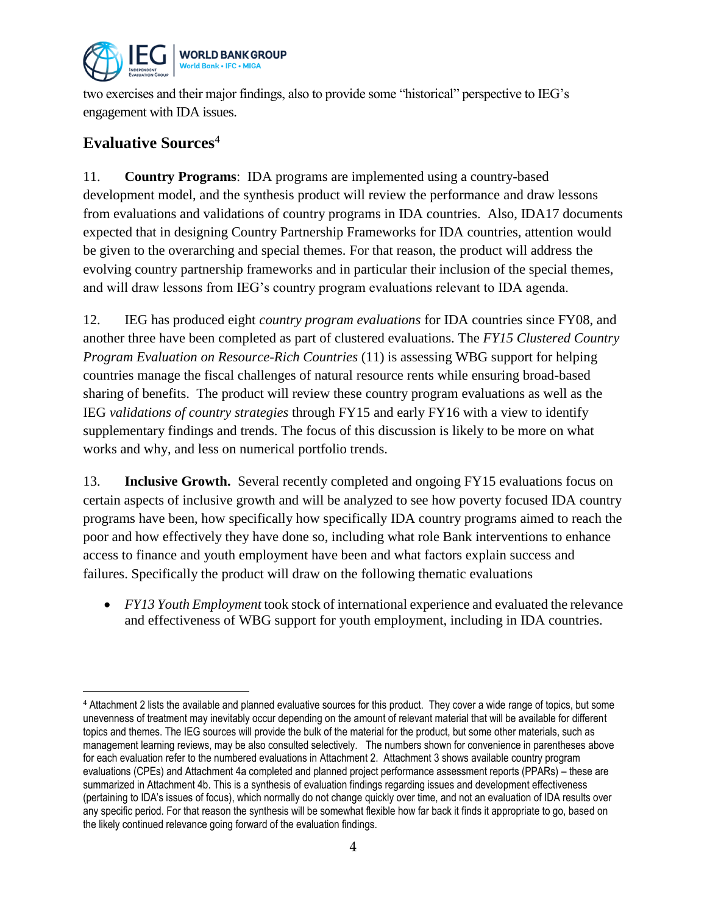

two exercises and their major findings, also to provide some "historical" perspective to IEG's engagement with IDA issues.

### **Evaluative Sources**<sup>4</sup>

 $\overline{a}$ 

11. **Country Programs**: IDA programs are implemented using a country-based development model, and the synthesis product will review the performance and draw lessons from evaluations and validations of country programs in IDA countries. Also, IDA17 documents expected that in designing Country Partnership Frameworks for IDA countries, attention would be given to the overarching and special themes. For that reason, the product will address the evolving country partnership frameworks and in particular their inclusion of the special themes, and will draw lessons from IEG's country program evaluations relevant to IDA agenda.

12. IEG has produced eight *country program evaluations* for IDA countries since FY08, and another three have been completed as part of clustered evaluations. The *FY15 Clustered Country Program Evaluation on Resource-Rich Countries* (11) is assessing WBG support for helping countries manage the fiscal challenges of natural resource rents while ensuring broad-based sharing of benefits. The product will review these country program evaluations as well as the IEG *validations of country strategies* through FY15 and early FY16 with a view to identify supplementary findings and trends. The focus of this discussion is likely to be more on what works and why, and less on numerical portfolio trends.

13. **Inclusive Growth.** Several recently completed and ongoing FY15 evaluations focus on certain aspects of inclusive growth and will be analyzed to see how poverty focused IDA country programs have been, how specifically how specifically IDA country programs aimed to reach the poor and how effectively they have done so, including what role Bank interventions to enhance access to finance and youth employment have been and what factors explain success and failures. Specifically the product will draw on the following thematic evaluations

 *FY13 Youth Employment* took stock of international experience and evaluated the relevance and effectiveness of WBG support for youth employment, including in IDA countries.

<sup>&</sup>lt;sup>4</sup> Attachment 2 lists the available and planned evaluative sources for this product. They cover a wide range of topics, but some unevenness of treatment may inevitably occur depending on the amount of relevant material that will be available for different topics and themes. The IEG sources will provide the bulk of the material for the product, but some other materials, such as management learning reviews, may be also consulted selectively. The numbers shown for convenience in parentheses above for each evaluation refer to the numbered evaluations in Attachment 2. Attachment 3 shows available country program evaluations (CPEs) and Attachment 4a completed and planned project performance assessment reports (PPARs) – these are summarized in Attachment 4b. This is a synthesis of evaluation findings regarding issues and development effectiveness (pertaining to IDA's issues of focus), which normally do not change quickly over time, and not an evaluation of IDA results over any specific period. For that reason the synthesis will be somewhat flexible how far back it finds it appropriate to go, based on the likely continued relevance going forward of the evaluation findings.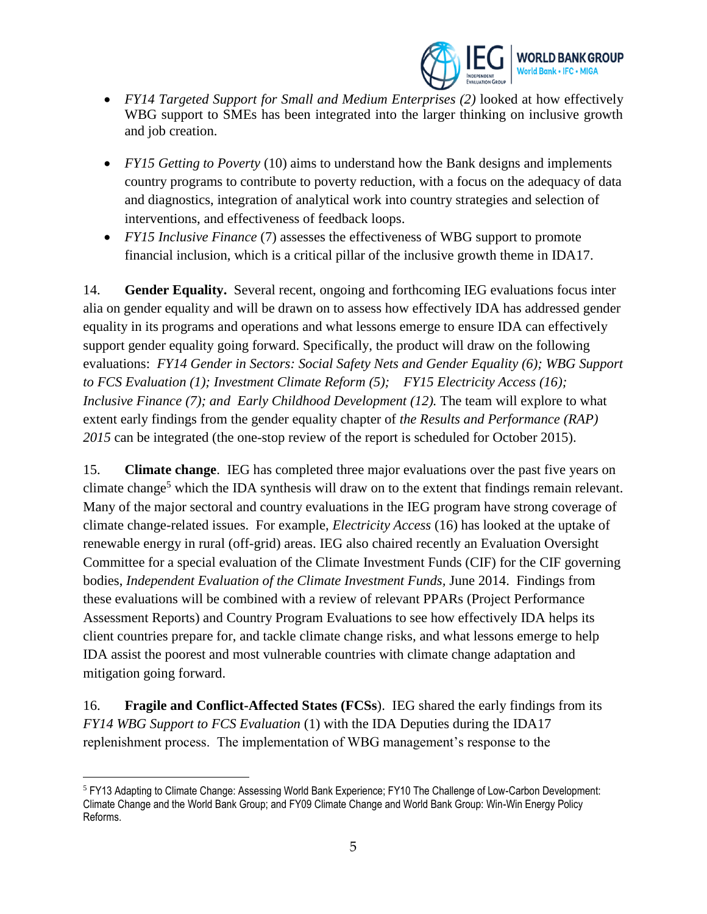

- *FY14 Targeted Support for Small and Medium Enterprises (2)* looked at how effectively WBG support to SMEs has been integrated into the larger thinking on inclusive growth and job creation.
- *FY15 Getting to Poverty* (10) aims to understand how the Bank designs and implements country programs to contribute to poverty reduction, with a focus on the adequacy of data and diagnostics, integration of analytical work into country strategies and selection of interventions, and effectiveness of feedback loops.
- *FY15 Inclusive Finance* (7) assesses the effectiveness of WBG support to promote financial inclusion, which is a critical pillar of the inclusive growth theme in IDA17.

14. **Gender Equality.** Several recent, ongoing and forthcoming IEG evaluations focus inter alia on gender equality and will be drawn on to assess how effectively IDA has addressed gender equality in its programs and operations and what lessons emerge to ensure IDA can effectively support gender equality going forward. Specifically, the product will draw on the following evaluations: *FY14 Gender in Sectors: Social Safety Nets and Gender Equality (6); WBG Support to FCS Evaluation (1); Investment Climate Reform (5); FY15 Electricity Access (16); Inclusive Finance (7); and Early Childhood Development (12).* The team will explore to what extent early findings from the gender equality chapter of *the Results and Performance (RAP) 2015* can be integrated (the one-stop review of the report is scheduled for October 2015).

15. **Climate change**. IEG has completed three major evaluations over the past five years on climate change<sup>5</sup> which the IDA synthesis will draw on to the extent that findings remain relevant. Many of the major sectoral and country evaluations in the IEG program have strong coverage of climate change-related issues. For example, *Electricity Access* (16) has looked at the uptake of renewable energy in rural (off-grid) areas. IEG also chaired recently an Evaluation Oversight Committee for a special evaluation of the Climate Investment Funds (CIF) for the CIF governing bodies, *Independent Evaluation of the Climate Investment Funds,* June 2014. Findings from these evaluations will be combined with a review of relevant PPARs (Project Performance Assessment Reports) and Country Program Evaluations to see how effectively IDA helps its client countries prepare for, and tackle climate change risks, and what lessons emerge to help IDA assist the poorest and most vulnerable countries with climate change adaptation and mitigation going forward.

16. **Fragile and Conflict-Affected States (FCSs**). IEG shared the early findings from its *FY14 WBG Support to FCS Evaluation* (1) with the IDA Deputies during the IDA17 replenishment process. The implementation of WBG management's response to the

 $\overline{a}$ <sup>5</sup> FY13 Adapting to Climate Change: Assessing World Bank Experience; FY10 The Challenge of Low-Carbon Development: Climate Change and the World Bank Group; and FY09 Climate Change and World Bank Group: Win-Win Energy Policy Reforms.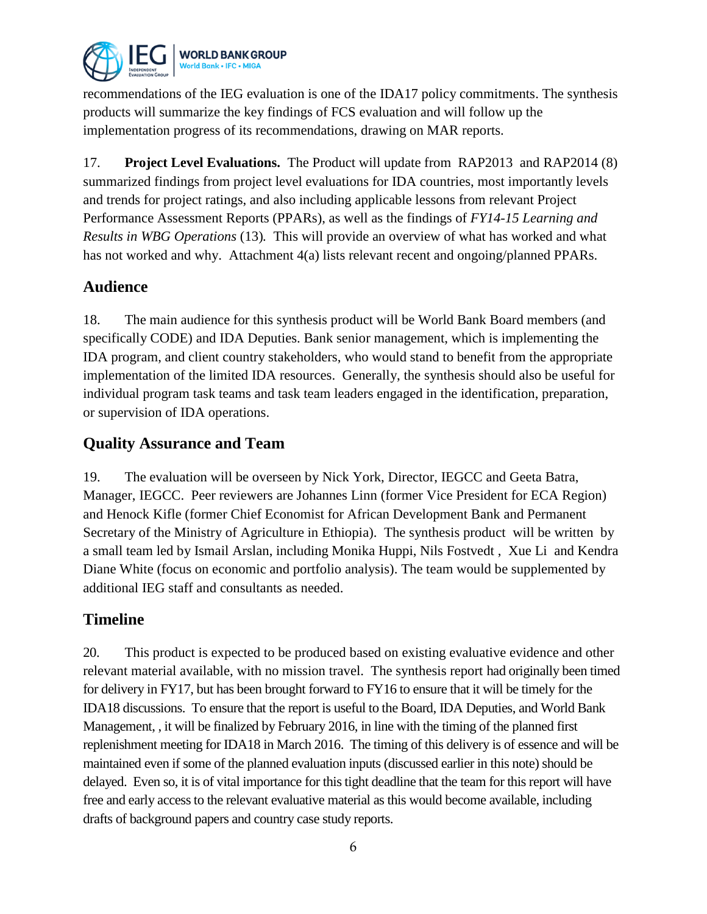

recommendations of the IEG evaluation is one of the IDA17 policy commitments. The synthesis products will summarize the key findings of FCS evaluation and will follow up the implementation progress of its recommendations, drawing on MAR reports.

17. **Project Level Evaluations.** The Product will update from RAP2013 and RAP2014 (8) summarized findings from project level evaluations for IDA countries, most importantly levels and trends for project ratings, and also including applicable lessons from relevant Project Performance Assessment Reports (PPARs), as well as the findings of *FY14-15 Learning and Results in WBG Operations* (13)*.* This will provide an overview of what has worked and what has not worked and why. Attachment 4(a) lists relevant recent and ongoing/planned PPARs.

#### **Audience**

18. The main audience for this synthesis product will be World Bank Board members (and specifically CODE) and IDA Deputies. Bank senior management, which is implementing the IDA program, and client country stakeholders, who would stand to benefit from the appropriate implementation of the limited IDA resources. Generally, the synthesis should also be useful for individual program task teams and task team leaders engaged in the identification, preparation, or supervision of IDA operations.

#### **Quality Assurance and Team**

19. The evaluation will be overseen by Nick York, Director, IEGCC and Geeta Batra, Manager, IEGCC. Peer reviewers are Johannes Linn (former Vice President for ECA Region) and Henock Kifle (former Chief Economist for African Development Bank and Permanent Secretary of the Ministry of Agriculture in Ethiopia). The synthesis product will be written by a small team led by Ismail Arslan, including Monika Huppi, Nils Fostvedt , Xue Li and Kendra Diane White (focus on economic and portfolio analysis). The team would be supplemented by additional IEG staff and consultants as needed.

#### **Timeline**

20. This product is expected to be produced based on existing evaluative evidence and other relevant material available, with no mission travel. The synthesis report had originally been timed for delivery in FY17, but has been brought forward to FY16 to ensure that it will be timely for the IDA18 discussions. To ensure that the report is useful to the Board, IDA Deputies, and World Bank Management, , it will be finalized by February 2016, in line with the timing of the planned first replenishment meeting for IDA18 in March 2016. The timing of this delivery is of essence and will be maintained even if some of the planned evaluation inputs (discussed earlier in this note) should be delayed. Even so, it is of vital importance for this tight deadline that the team for this report will have free and early access to the relevant evaluative material as this would become available, including drafts of background papers and country case study reports.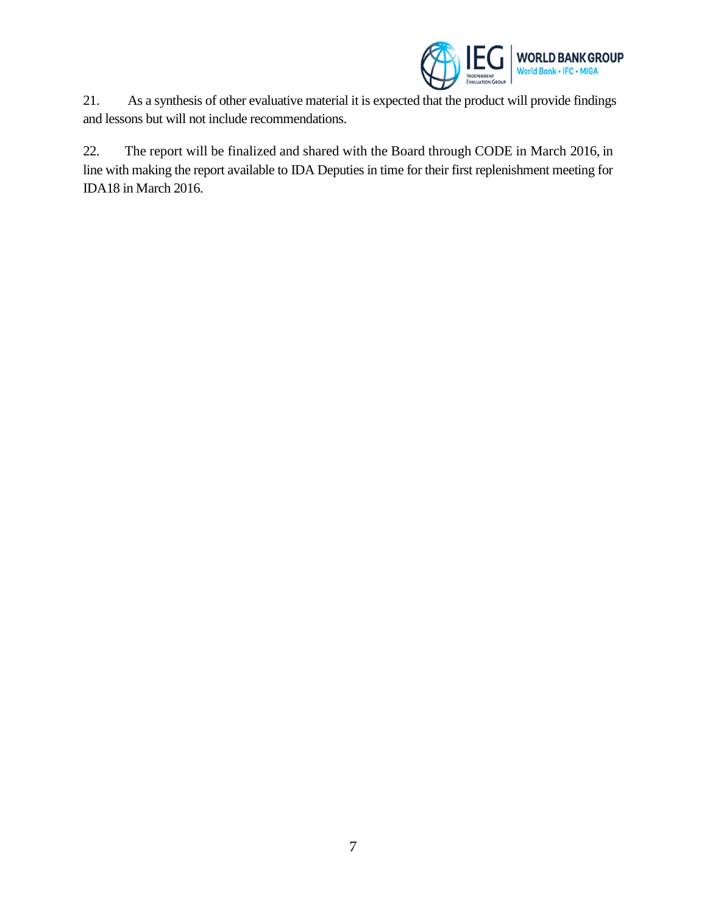

21. As a synthesis of other evaluative material it is expected that the product will provide findings and lessons but will not include recommendations.

22. The report will be finalized and shared with the Board through CODE in March 2016, in line with making the report available to IDA Deputies in time for their first replenishment meeting for IDA18 in March 2016.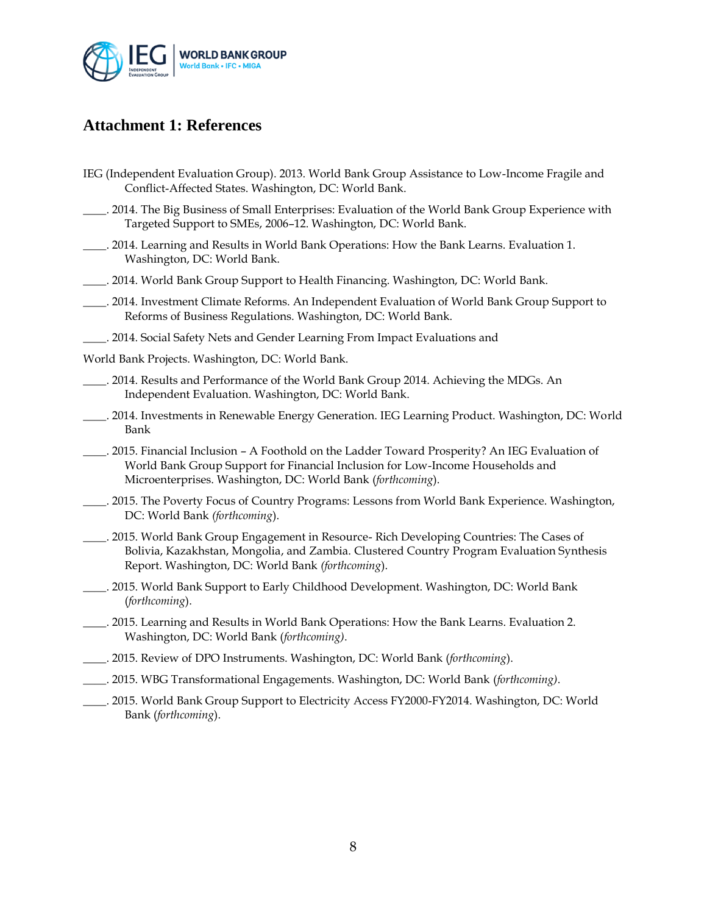

#### **Attachment 1: References**

- IEG (Independent Evaluation Group). 2013. World Bank Group Assistance to Low-Income Fragile and Conflict-Affected States. Washington, DC: World Bank.
- \_\_\_\_. 2014. The Big Business of Small Enterprises: Evaluation of the World Bank Group Experience with Targeted Support to SMEs, 2006–12. Washington, DC: World Bank.
- \_\_\_\_. 2014. Learning and Results in World Bank Operations: How the Bank Learns. Evaluation 1. Washington, DC: World Bank.
- \_\_\_\_. 2014. World Bank Group Support to Health Financing. Washington, DC: World Bank.
- \_\_\_\_. 2014. Investment Climate Reforms. An Independent Evaluation of World Bank Group Support to Reforms of Business Regulations. Washington, DC: World Bank.
- \_\_\_\_. 2014. Social Safety Nets and Gender Learning From Impact Evaluations and
- World Bank Projects. Washington, DC: World Bank.
- \_\_\_\_. 2014. Results and Performance of the World Bank Group 2014. Achieving the MDGs. An Independent Evaluation. Washington, DC: World Bank.
- \_\_\_\_. 2014. Investments in Renewable Energy Generation. IEG Learning Product. Washington, DC: World Bank
- \_\_\_\_. 2015. Financial Inclusion A Foothold on the Ladder Toward Prosperity? An IEG Evaluation of World Bank Group Support for Financial Inclusion for Low-Income Households and Microenterprises. Washington, DC: World Bank (*forthcoming*).
- \_\_\_\_. 2015. The Poverty Focus of Country Programs: Lessons from World Bank Experience. Washington, DC: World Bank *(forthcoming*).
- \_\_\_\_. 2015. World Bank Group Engagement in Resource- Rich Developing Countries: The Cases of Bolivia, Kazakhstan, Mongolia, and Zambia. Clustered Country Program Evaluation Synthesis Report. Washington, DC: World Bank *(forthcoming*).
- \_\_\_\_. 2015. World Bank Support to Early Childhood Development. Washington, DC: World Bank (*forthcoming*).
- \_\_\_\_. 2015. Learning and Results in World Bank Operations: How the Bank Learns. Evaluation 2. Washington, DC: World Bank (*forthcoming)*.
- \_\_\_\_. 2015. Review of DPO Instruments. Washington, DC: World Bank (*forthcoming*).
- \_\_\_\_. 2015. WBG Transformational Engagements. Washington, DC: World Bank (*forthcoming)*.
- \_\_\_\_. 2015. World Bank Group Support to Electricity Access FY2000-FY2014. Washington, DC: World Bank (*forthcoming*).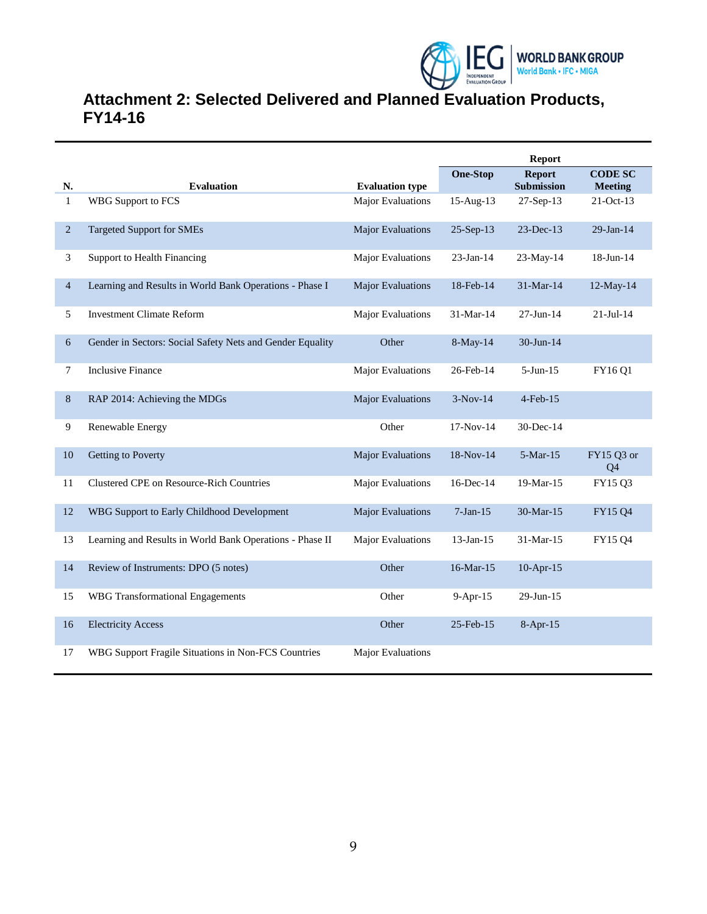

# **Attachment 2: Selected Delivered and Planned Evaluation Products, FY14-16**

|                |                                                           |                          | <b>Report</b>   |                                    |                                  |
|----------------|-----------------------------------------------------------|--------------------------|-----------------|------------------------------------|----------------------------------|
| N.             | <b>Evaluation</b>                                         | <b>Evaluation type</b>   | <b>One-Stop</b> | <b>Report</b><br><b>Submission</b> | <b>CODE SC</b><br><b>Meeting</b> |
| $\mathbf{1}$   | <b>WBG</b> Support to FCS                                 | <b>Major Evaluations</b> | $15$ -Aug- $13$ | 27-Sep-13                          | 21-Oct-13                        |
| 2              | <b>Targeted Support for SMEs</b>                          | <b>Major Evaluations</b> | $25-Sep-13$     | $23$ -Dec-13                       | $29$ -Jan-14                     |
| 3              | <b>Support to Health Financing</b>                        | Major Evaluations        | $23$ -Jan-14    | 23-May-14                          | 18-Jun-14                        |
| $\overline{4}$ | Learning and Results in World Bank Operations - Phase I   | <b>Major Evaluations</b> | 18-Feb-14       | 31-Mar-14                          | 12-May-14                        |
| 5              | <b>Investment Climate Reform</b>                          | <b>Major Evaluations</b> | 31-Mar-14       | 27-Jun-14                          | $21 -$ Jul $-14$                 |
| 6              | Gender in Sectors: Social Safety Nets and Gender Equality | Other                    | 8-May-14        | 30-Jun-14                          |                                  |
| 7              | <b>Inclusive Finance</b>                                  | <b>Major Evaluations</b> | 26-Feb-14       | $5-Jun-15$                         | FY16 Q1                          |
| 8              | RAP 2014: Achieving the MDGs                              | <b>Major Evaluations</b> | $3-Nov-14$      | $4$ -Feb- $15$                     |                                  |
| 9              | Renewable Energy                                          | Other                    | 17-Nov-14       | $30$ -Dec-14                       |                                  |
| 10             | Getting to Poverty                                        | <b>Major Evaluations</b> | 18-Nov-14       | $5-Mar-15$                         | FY15 Q3 or<br>Q4                 |
| 11             | <b>Clustered CPE on Resource-Rich Countries</b>           | Major Evaluations        | 16-Dec-14       | 19-Mar-15                          | FY15 Q3                          |
| 12             | WBG Support to Early Childhood Development                | <b>Major Evaluations</b> | $7-Jan-15$      | 30-Mar-15                          | FY15 Q4                          |
| 13             | Learning and Results in World Bank Operations - Phase II  | <b>Major Evaluations</b> | $13$ -Jan- $15$ | 31-Mar-15                          | FY15 Q4                          |
| 14             | Review of Instruments: DPO (5 notes)                      | Other                    | 16-Mar-15       | $10$ -Apr- $15$                    |                                  |
| 15             | <b>WBG</b> Transformational Engagements                   | Other                    | 9-Apr-15        | 29-Jun-15                          |                                  |
| 16             | <b>Electricity Access</b>                                 | Other                    | 25-Feb-15       | 8-Apr-15                           |                                  |
| 17             | WBG Support Fragile Situations in Non-FCS Countries       | <b>Major Evaluations</b> |                 |                                    |                                  |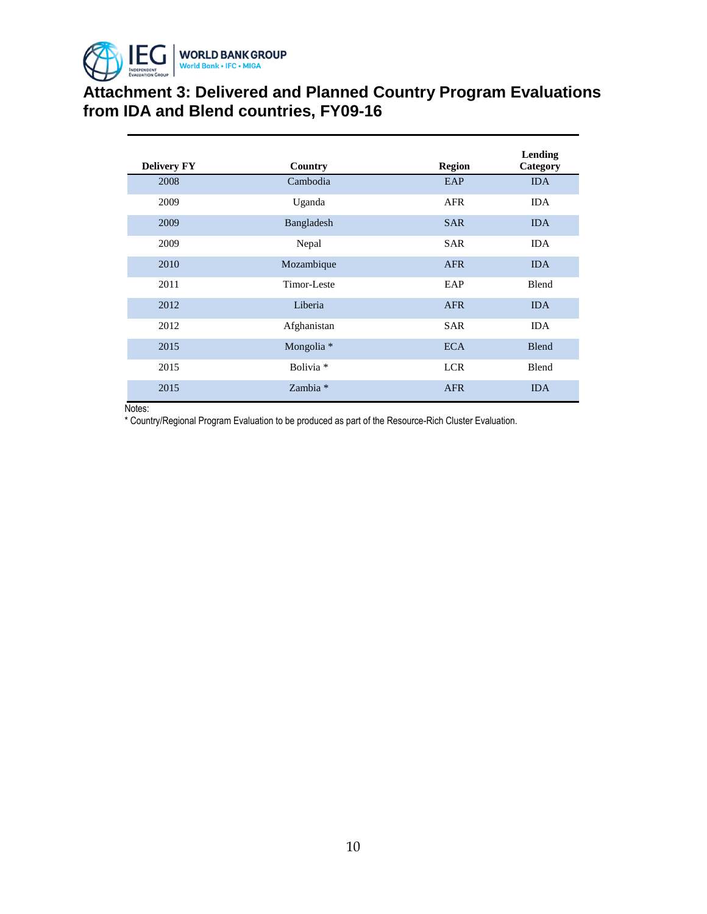

# **Attachment 3: Delivered and Planned Country Program Evaluations from IDA and Blend countries, FY09-16**

| <b>Delivery FY</b> | Country              | <b>Region</b> | Lending<br>Category |
|--------------------|----------------------|---------------|---------------------|
| 2008               | Cambodia             | EAP           | <b>IDA</b>          |
| 2009               | Uganda               | AFR           | <b>IDA</b>          |
| 2009               | Bangladesh           | <b>SAR</b>    | <b>IDA</b>          |
| 2009               | Nepal                | <b>SAR</b>    | <b>IDA</b>          |
| 2010               | Mozambique           | <b>AFR</b>    | <b>IDA</b>          |
| 2011               | Timor-Leste          | EAP           | Blend               |
| 2012               | Liberia              | <b>AFR</b>    | <b>IDA</b>          |
| 2012               | Afghanistan          | <b>SAR</b>    | <b>IDA</b>          |
| 2015               | Mongolia *           | <b>ECA</b>    | Blend               |
| 2015               | Bolivia <sup>*</sup> | <b>LCR</b>    | Blend               |
| 2015               | Zambia *             | <b>AFR</b>    | <b>IDA</b>          |

Notes:

\* Country/Regional Program Evaluation to be produced as part of the Resource-Rich Cluster Evaluation.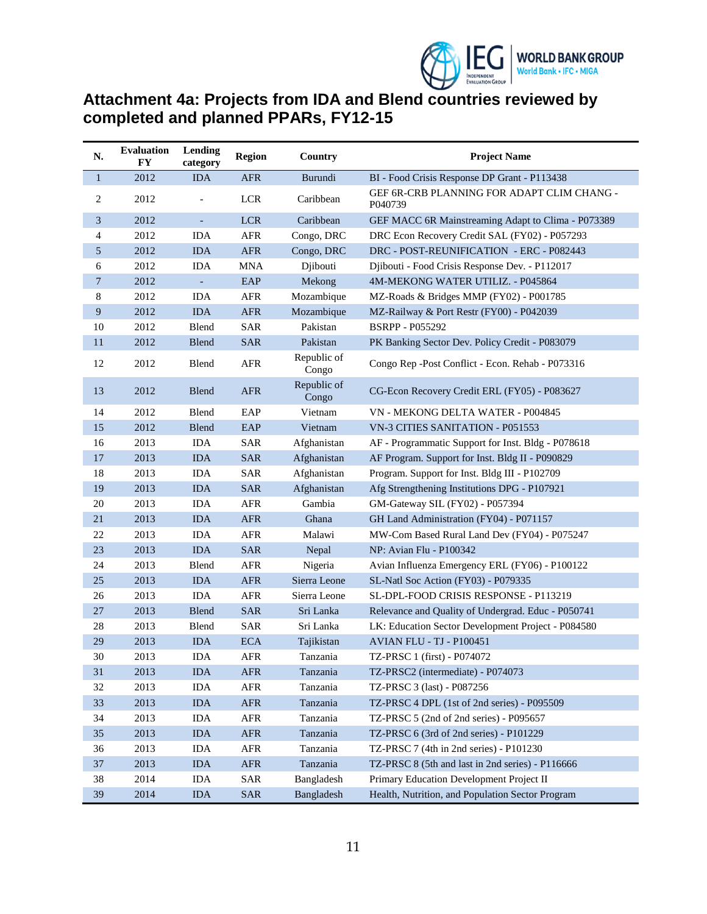

## **Attachment 4a: Projects from IDA and Blend countries reviewed by completed and planned PPARs, FY12-15**

| N.           | <b>Evaluation</b><br>FY | Lending<br>category | <b>Region</b> | Country              | <b>Project Name</b>                                   |  |
|--------------|-------------------------|---------------------|---------------|----------------------|-------------------------------------------------------|--|
| $\mathbf{1}$ | 2012                    | <b>IDA</b>          | <b>AFR</b>    | Burundi              | BI - Food Crisis Response DP Grant - P113438          |  |
| 2            | 2012                    |                     | LCR           | Caribbean            | GEF 6R-CRB PLANNING FOR ADAPT CLIM CHANG -<br>P040739 |  |
| 3            | 2012                    | $\blacksquare$      | <b>LCR</b>    | Caribbean            | GEF MACC 6R Mainstreaming Adapt to Clima - P073389    |  |
| 4            | 2012                    | <b>IDA</b>          | <b>AFR</b>    | Congo, DRC           | DRC Econ Recovery Credit SAL (FY02) - P057293         |  |
| 5            | 2012                    | <b>IDA</b>          | <b>AFR</b>    | Congo, DRC           | DRC - POST-REUNIFICATION - ERC - P082443              |  |
| 6            | 2012                    | <b>IDA</b>          | <b>MNA</b>    | Djibouti             | Djibouti - Food Crisis Response Dev. - P112017        |  |
| 7            | 2012                    | $\blacksquare$      | EAP           | Mekong               | 4M-MEKONG WATER UTILIZ. - P045864                     |  |
| 8            | 2012                    | <b>IDA</b>          | <b>AFR</b>    | Mozambique           | MZ-Roads & Bridges MMP (FY02) - P001785               |  |
| 9            | 2012                    | <b>IDA</b>          | <b>AFR</b>    | Mozambique           | MZ-Railway & Port Restr (FY00) - P042039              |  |
| 10           | 2012                    | Blend               | <b>SAR</b>    | Pakistan             | <b>BSRPP - P055292</b>                                |  |
| 11           | 2012                    | <b>Blend</b>        | <b>SAR</b>    | Pakistan             | PK Banking Sector Dev. Policy Credit - P083079        |  |
| 12           | 2012                    | Blend               | AFR           | Republic of<br>Congo | Congo Rep -Post Conflict - Econ. Rehab - P073316      |  |
| 13           | 2012                    | <b>Blend</b>        | <b>AFR</b>    | Republic of<br>Congo | CG-Econ Recovery Credit ERL (FY05) - P083627          |  |
| 14           | 2012                    | Blend               | EAP           | Vietnam              | VN - MEKONG DELTA WATER - P004845                     |  |
| 15           | 2012                    | Blend               | EAP           | Vietnam              | VN-3 CITIES SANITATION - P051553                      |  |
| 16           | 2013                    | <b>IDA</b>          | <b>SAR</b>    | Afghanistan          | AF - Programmatic Support for Inst. Bldg - P078618    |  |
| 17           | 2013                    | <b>IDA</b>          | <b>SAR</b>    | Afghanistan          | AF Program. Support for Inst. Bldg II - P090829       |  |
| 18           | 2013                    | <b>IDA</b>          | <b>SAR</b>    | Afghanistan          | Program. Support for Inst. Bldg III - P102709         |  |
| 19           | 2013                    | <b>IDA</b>          | <b>SAR</b>    | Afghanistan          | Afg Strengthening Institutions DPG - P107921          |  |
| 20           | 2013                    | <b>IDA</b>          | AFR           | Gambia               | GM-Gateway SIL (FY02) - P057394                       |  |
| 21           | 2013                    | <b>IDA</b>          | <b>AFR</b>    | Ghana                | GH Land Administration (FY04) - P071157               |  |
| 22           | 2013                    | <b>IDA</b>          | AFR           | Malawi               | MW-Com Based Rural Land Dev (FY04) - P075247          |  |
| 23           | 2013                    | <b>IDA</b>          | <b>SAR</b>    | Nepal                | NP: Avian Flu - P100342                               |  |
| 24           | 2013                    | Blend               | <b>AFR</b>    | Nigeria              | Avian Influenza Emergency ERL (FY06) - P100122        |  |
| 25           | 2013                    | <b>IDA</b>          | <b>AFR</b>    | Sierra Leone         | SL-Natl Soc Action (FY03) - P079335                   |  |
| 26           | 2013                    | <b>IDA</b>          | <b>AFR</b>    | Sierra Leone         | SL-DPL-FOOD CRISIS RESPONSE - P113219                 |  |
| 27           | 2013                    | Blend               | <b>SAR</b>    | Sri Lanka            | Relevance and Quality of Undergrad. Educ - P050741    |  |
| 28           | 2013                    | Blend               | SAR           | Sri Lanka            | LK: Education Sector Development Project - P084580    |  |
| 29           | 2013                    | <b>IDA</b>          | <b>ECA</b>    | Tajikistan           | <b>AVIAN FLU - TJ - P100451</b>                       |  |
| 30           | 2013                    | <b>IDA</b>          | <b>AFR</b>    | Tanzania             | TZ-PRSC 1 (first) - P074072                           |  |
| 31           | 2013                    | IDA                 | ${\sf AFR}$   | Tanzania             | TZ-PRSC2 (intermediate) - P074073                     |  |
| 32           | 2013                    | $\rm IDA$           | AFR           | Tanzania             | TZ-PRSC 3 (last) - P087256                            |  |
| 33           | 2013                    | $\rm IDA$           | ${\sf AFR}$   | Tanzania             | TZ-PRSC 4 DPL (1st of 2nd series) - P095509           |  |
| 34           | 2013                    | IDA                 | AFR           | Tanzania             | TZ-PRSC 5 (2nd of 2nd series) - P095657               |  |
| 35           | 2013                    | $\rm IDA$           | ${\sf AFR}$   | Tanzania             | TZ-PRSC 6 (3rd of 2nd series) - P101229               |  |
| 36           | 2013                    | IDA                 | AFR           | Tanzania             | TZ-PRSC 7 (4th in 2nd series) - P101230               |  |
| 37           | 2013                    | $\rm IDA$           | ${\sf AFR}$   | Tanzania             | TZ-PRSC 8 (5th and last in 2nd series) - P116666      |  |
| 38           | 2014                    | IDA                 | SAR           | Bangladesh           | Primary Education Development Project II              |  |
| 39           | 2014                    | IDA                 | <b>SAR</b>    | Bangladesh           | Health, Nutrition, and Population Sector Program      |  |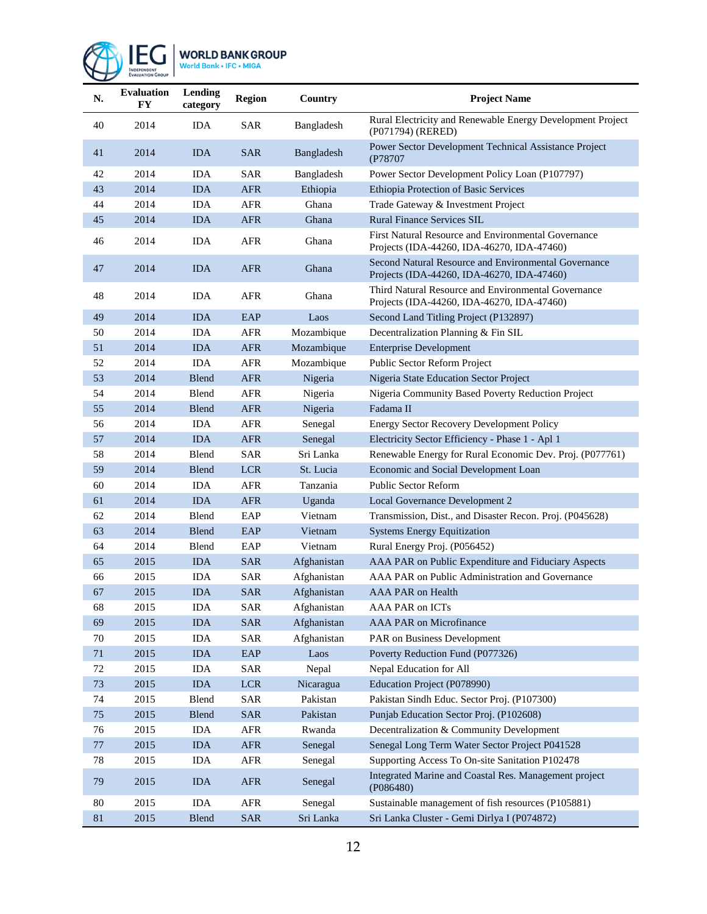

# WORLD BANK GROUP<br>World Bank + IFC + MIGA

| N.     | <b>Evaluation</b><br><b>FY</b> | Lending<br>category | <b>Region</b>             | Country     | <b>Project Name</b>                                                                                |  |
|--------|--------------------------------|---------------------|---------------------------|-------------|----------------------------------------------------------------------------------------------------|--|
| 40     | 2014                           | <b>IDA</b>          | <b>SAR</b>                | Bangladesh  | Rural Electricity and Renewable Energy Development Project<br>(P071794) (RERED)                    |  |
| 41     | 2014                           | <b>IDA</b>          | <b>SAR</b>                | Bangladesh  | Power Sector Development Technical Assistance Project<br>(P78707                                   |  |
| 42     | 2014                           | <b>IDA</b>          | <b>SAR</b>                | Bangladesh  | Power Sector Development Policy Loan (P107797)                                                     |  |
| 43     | 2014                           | <b>IDA</b>          | <b>AFR</b>                | Ethiopia    | Ethiopia Protection of Basic Services                                                              |  |
| 44     | 2014                           | <b>IDA</b>          | <b>AFR</b>                | Ghana       | Trade Gateway & Investment Project                                                                 |  |
| 45     | 2014                           | <b>IDA</b>          | <b>AFR</b>                | Ghana       | <b>Rural Finance Services SIL</b>                                                                  |  |
| 46     | 2014                           | <b>IDA</b>          | <b>AFR</b>                | Ghana       | First Natural Resource and Environmental Governance<br>Projects (IDA-44260, IDA-46270, IDA-47460)  |  |
| 47     | 2014                           | <b>IDA</b>          | <b>AFR</b>                | Ghana       | Second Natural Resource and Environmental Governance<br>Projects (IDA-44260, IDA-46270, IDA-47460) |  |
| 48     | 2014                           | <b>IDA</b>          | <b>AFR</b>                | Ghana       | Third Natural Resource and Environmental Governance<br>Projects (IDA-44260, IDA-46270, IDA-47460)  |  |
| 49     | 2014                           | <b>IDA</b>          | EAP                       | Laos        | Second Land Titling Project (P132897)                                                              |  |
| 50     | 2014                           | <b>IDA</b>          | <b>AFR</b>                | Mozambique  | Decentralization Planning & Fin SIL                                                                |  |
| 51     | 2014                           | <b>IDA</b>          | <b>AFR</b>                | Mozambique  | <b>Enterprise Development</b>                                                                      |  |
| 52     | 2014                           | <b>IDA</b>          | <b>AFR</b>                | Mozambique  | Public Sector Reform Project                                                                       |  |
| 53     | 2014                           | <b>Blend</b>        | <b>AFR</b>                | Nigeria     | Nigeria State Education Sector Project                                                             |  |
| 54     | 2014                           | Blend               | <b>AFR</b>                | Nigeria     | Nigeria Community Based Poverty Reduction Project                                                  |  |
| 55     | 2014                           | Blend               | <b>AFR</b>                | Nigeria     | Fadama II                                                                                          |  |
| 56     | 2014                           | <b>IDA</b>          | <b>AFR</b>                | Senegal     | Energy Sector Recovery Development Policy                                                          |  |
| 57     | 2014                           | <b>IDA</b>          | <b>AFR</b>                | Senegal     | Electricity Sector Efficiency - Phase 1 - Apl 1                                                    |  |
| 58     | 2014                           | Blend               | <b>SAR</b>                | Sri Lanka   | Renewable Energy for Rural Economic Dev. Proj. (P077761)                                           |  |
| 59     | 2014                           | <b>Blend</b>        | <b>LCR</b>                | St. Lucia   | Economic and Social Development Loan                                                               |  |
| 60     | 2014                           | <b>IDA</b>          | <b>AFR</b>                | Tanzania    | <b>Public Sector Reform</b>                                                                        |  |
| 61     | 2014                           | <b>IDA</b>          | <b>AFR</b>                | Uganda      | Local Governance Development 2                                                                     |  |
| 62     | 2014                           | Blend               | EAP                       | Vietnam     | Transmission, Dist., and Disaster Recon. Proj. (P045628)                                           |  |
| 63     | 2014                           | <b>Blend</b>        | EAP                       | Vietnam     | <b>Systems Energy Equitization</b>                                                                 |  |
| 64     | 2014                           | Blend               | EAP                       | Vietnam     | Rural Energy Proj. (P056452)                                                                       |  |
| 65     | 2015                           | <b>IDA</b>          | <b>SAR</b>                | Afghanistan | AAA PAR on Public Expenditure and Fiduciary Aspects                                                |  |
| 66     | 2015                           | <b>IDA</b>          | <b>SAR</b>                | Afghanistan | AAA PAR on Public Administration and Governance                                                    |  |
| 67     | 2015                           | <b>IDA</b>          | <b>SAR</b>                | Afghanistan | <b>AAA PAR on Health</b>                                                                           |  |
| 68     | 2015                           | IDA                 | SAR                       | Afghanistan | AAA PAR on ICTs                                                                                    |  |
| 69     | 2015                           | <b>IDA</b>          | <b>SAR</b>                | Afghanistan | AAA PAR on Microfinance                                                                            |  |
| 70     | 2015                           | <b>IDA</b>          | <b>SAR</b>                | Afghanistan | PAR on Business Development                                                                        |  |
| $71\,$ | 2015                           | $\rm IDA$           | $\ensuremath{\text{EAP}}$ | Laos        | Poverty Reduction Fund (P077326)                                                                   |  |
| 72     | 2015                           | <b>IDA</b>          | SAR                       | Nepal       | Nepal Education for All                                                                            |  |
| 73     | 2015                           | <b>IDA</b>          | <b>LCR</b>                | Nicaragua   | Education Project (P078990)                                                                        |  |
| 74     | 2015                           | Blend               | <b>SAR</b>                | Pakistan    | Pakistan Sindh Educ. Sector Proj. (P107300)                                                        |  |
| 75     | 2015                           | Blend               | <b>SAR</b>                | Pakistan    | Punjab Education Sector Proj. (P102608)                                                            |  |
| 76     | 2015                           | IDA                 | AFR                       | Rwanda      | Decentralization & Community Development                                                           |  |
| $77\,$ | 2015                           | <b>IDA</b>          | ${\sf AFR}$               | Senegal     | Senegal Long Term Water Sector Project P041528                                                     |  |
| 78     | 2015                           | <b>IDA</b>          | AFR                       | Senegal     | Supporting Access To On-site Sanitation P102478                                                    |  |
| 79     | 2015                           | <b>IDA</b>          | ${\rm AFR}$               | Senegal     | Integrated Marine and Coastal Res. Management project<br>( P086480)                                |  |
| 80     | 2015                           | IDA                 | AFR                       | Senegal     | Sustainable management of fish resources (P105881)                                                 |  |
| 81     | 2015                           | Blend               | <b>SAR</b>                | Sri Lanka   | Sri Lanka Cluster - Gemi Dirlya I (P074872)                                                        |  |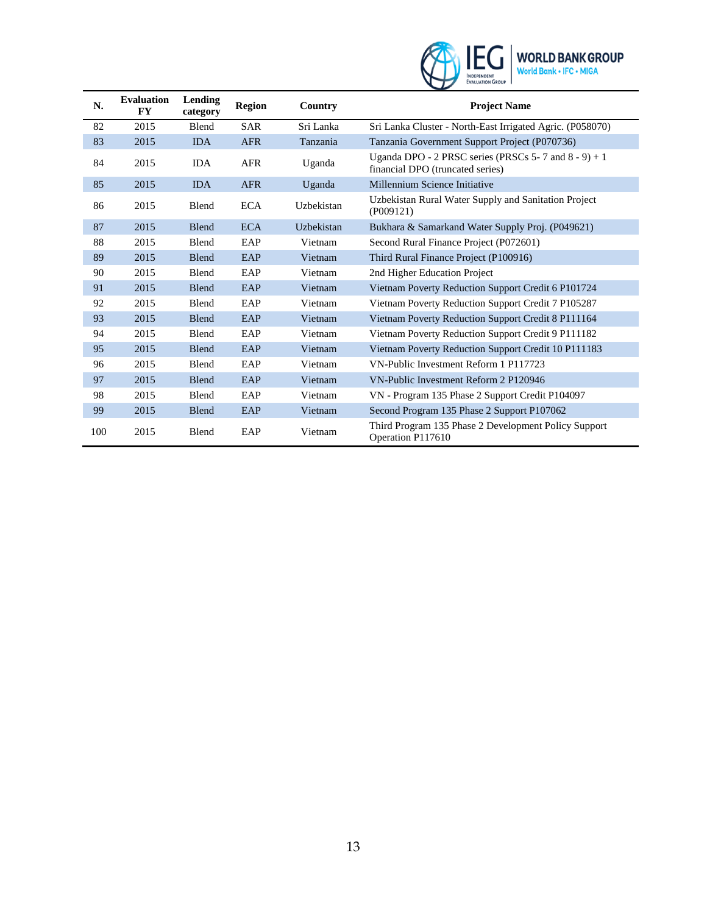

| N.  | <b>Evaluation</b><br><b>FY</b> | Lending<br>category | <b>Region</b> | Country    | <b>Project Name</b>                                                                         |
|-----|--------------------------------|---------------------|---------------|------------|---------------------------------------------------------------------------------------------|
| 82  | 2015                           | Blend               | <b>SAR</b>    | Sri Lanka  | Sri Lanka Cluster - North-East Irrigated Agric. (P058070)                                   |
| 83  | 2015                           | <b>IDA</b>          | <b>AFR</b>    | Tanzania   | Tanzania Government Support Project (P070736)                                               |
| 84  | 2015                           | <b>IDA</b>          | <b>AFR</b>    | Uganda     | Uganda DPO - 2 PRSC series (PRSCs 5-7 and $8 - 9$ ) + 1<br>financial DPO (truncated series) |
| 85  | 2015                           | <b>IDA</b>          | <b>AFR</b>    | Uganda     | Millennium Science Initiative                                                               |
| 86  | 2015                           | Blend               | <b>ECA</b>    | Uzbekistan | Uzbekistan Rural Water Supply and Sanitation Project<br>(PO09121)                           |
| 87  | 2015                           | <b>Blend</b>        | <b>ECA</b>    | Uzbekistan | Bukhara & Samarkand Water Supply Proj. (P049621)                                            |
| 88  | 2015                           | Blend               | EAP           | Vietnam    | Second Rural Finance Project (P072601)                                                      |
| 89  | 2015                           | <b>Blend</b>        | EAP           | Vietnam    | Third Rural Finance Project (P100916)                                                       |
| 90  | 2015                           | Blend               | EAP           | Vietnam    | 2nd Higher Education Project                                                                |
| 91  | 2015                           | <b>Blend</b>        | EAP           | Vietnam    | Vietnam Poverty Reduction Support Credit 6 P101724                                          |
| 92  | 2015                           | Blend               | EAP           | Vietnam    | Vietnam Poverty Reduction Support Credit 7 P105287                                          |
| 93  | 2015                           | <b>Blend</b>        | EAP           | Vietnam    | Vietnam Poverty Reduction Support Credit 8 P111164                                          |
| 94  | 2015                           | Blend               | EAP           | Vietnam    | Vietnam Poverty Reduction Support Credit 9 P111182                                          |
| 95  | 2015                           | <b>Blend</b>        | EAP           | Vietnam    | Vietnam Poverty Reduction Support Credit 10 P111183                                         |
| 96  | 2015                           | Blend               | EAP           | Vietnam    | VN-Public Investment Reform 1 P117723                                                       |
| 97  | 2015                           | <b>Blend</b>        | EAP           | Vietnam    | VN-Public Investment Reform 2 P120946                                                       |
| 98  | 2015                           | Blend               | EAP           | Vietnam    | VN - Program 135 Phase 2 Support Credit P104097                                             |
| 99  | 2015                           | <b>Blend</b>        | EAP           | Vietnam    | Second Program 135 Phase 2 Support P107062                                                  |
| 100 | 2015                           | Blend               | EAP           | Vietnam    | Third Program 135 Phase 2 Development Policy Support<br>Operation P117610                   |